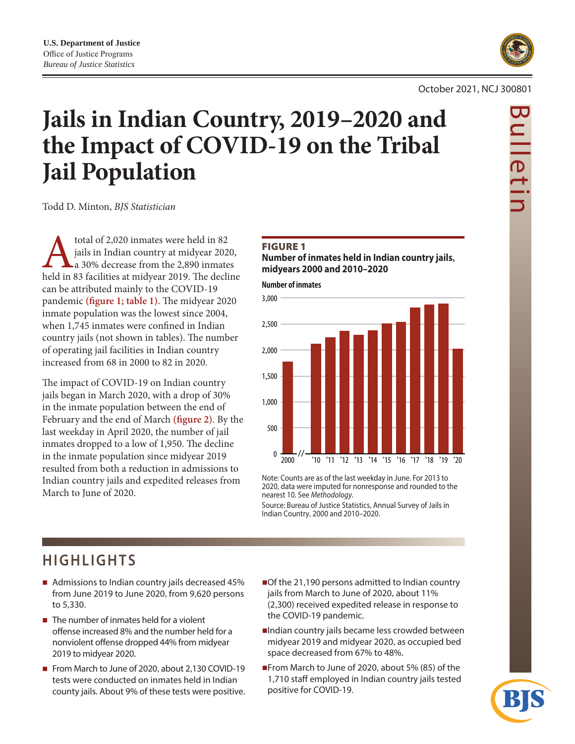

#### October 2021, NCJ 300801

# **Jails in Indian Country, 2019–2020 and the Impact of COVID-19 on the Tribal Jail Population**

Todd D. Minton, *BJS Statistician*

total of 2,020 inmates were held in 82<br>
jails in Indian country at midyear 2020,<br>
held in 83 facilities at midyear 2019. The decline jails in Indian country at midyear 2020, a 30% decrease from the 2,890 inmates can be attributed mainly to the COVID-19 pandemic **(figure 1; table 1)**. The midyear 2020 inmate population was the lowest since 2004, when 1,745 inmates were confined in Indian country jails (not shown in tables). The number of operating jail facilities in Indian country increased from 68 in 2000 to 82 in 2020.

The impact of COVID-19 on Indian country jails began in March 2020, with a drop of 30% in the inmate population between the end of February and the end of March **(figure 2)**. By the last weekday in April 2020, the number of jail inmates dropped to a low of 1,950. The decline in the inmate population since midyear 2019 resulted from both a reduction in admissions to Indian country jails and expedited releases from March to June of 2020.

#### **FIGURE 1**

**Number of inmates held in Indian country jails, midyears 2000 and 2010–2020**

**Number of inmates**



Note: Counts are as of the last weekday in June. For 2013 to 2020, data were imputed for nonresponse and rounded to the nearest 10. See *Methodology*.

Source: Bureau of Justice Statistics, Annual Survey of Jails in Indian Country, 2000 and 2010–2020.

## **HIGHLIGHTS**

- Admissions to Indian country jails decreased 45% from June 2019 to June 2020, from 9,620 persons to 5,330.
- $\blacksquare$  The number of inmates held for a violent offense increased 8% and the number held for a nonviolent offense dropped 44% from midyear 2019 to midyear 2020.
- From March to June of 2020, about 2,130 COVID-19 tests were conducted on inmates held in Indian county jails. About 9% of these tests were positive.
- Of the 21,190 persons admitted to Indian country jails from March to June of 2020, about 11% (2,300) received expedited release in response to the COVID-19 pandemic.
- Indian country jails became less crowded between midyear 2019 and midyear 2020, as occupied bed space decreased from 67% to 48%.
- From March to June of 2020, about 5% (85) of the 1,710 staff employed in Indian country jails tested positive for COVID-19.

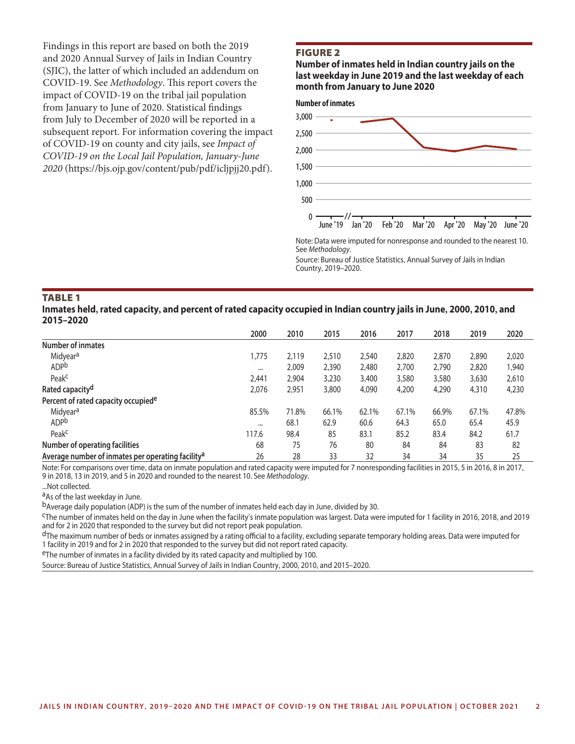Findings in this report are based on both the 2019 and 2020 Annual Survey of Jails in Indian Country (SJIC), the latter of which included an addendum on COVID-19. See *Methodology*. This report covers the impact of COVID-19 on the tribal jail population from January to June of 2020. Statistical findings from July to December of 2020 will be reported in a subsequent report. For information covering the impact of COVID-19 on county and city jails, see *Impact of COVID-19 on the Local Jail Population, January-June 2020* ([https://bjs.ojp.gov/content/pub/pdf/icljpjj20.pdf\)](https://bjs.ojp.gov/content/pub/pdf/icljpjj20.pdf).

#### Figure 2

**Number of inmates held in Indian country jails on the last weekday in June 2019 and the last weekday of each month from January to June 2020**



Note: Data were imputed for nonresponse and rounded to the nearest 10. See *Methodology*.

Source: Bureau of Justice Statistics, Annual Survey of Jails in Indian Country, 2019–2020.

#### Table 1

**Inmates held, rated capacity, and percent of rated capacity occupied in Indian country jails in June, 2000, 2010, and 2015–2020**

|                                                               | 2000     | 2010  | 2015  | 2016  | 2017  | 2018  | 2019  | 2020  |
|---------------------------------------------------------------|----------|-------|-------|-------|-------|-------|-------|-------|
| <b>Number of inmates</b>                                      |          |       |       |       |       |       |       |       |
| Midyear <sup>a</sup>                                          | 1,775    | 2,119 | 2,510 | 2,540 | 2,820 | 2,870 | 2,890 | 2,020 |
| <b>ADP</b> b                                                  | $\cdots$ | 2,009 | 2,390 | 2,480 | 2,700 | 2,790 | 2,820 | 1,940 |
| Peak <sup>c</sup>                                             | 2,441    | 2,904 | 3,230 | 3,400 | 3,580 | 3,580 | 3,630 | 2,610 |
| Rated capacity <sup>d</sup>                                   | 2,076    | 2,951 | 3,800 | 4,090 | 4,200 | 4,290 | 4,310 | 4,230 |
| Percent of rated capacity occupied <sup>e</sup>               |          |       |       |       |       |       |       |       |
| Midyear <sup>a</sup>                                          | 85.5%    | 71.8% | 66.1% | 62.1% | 67.1% | 66.9% | 67.1% | 47.8% |
| ADP <sub>b</sub>                                              | $\cdots$ | 68.1  | 62.9  | 60.6  | 64.3  | 65.0  | 65.4  | 45.9  |
| Peak <sup>c</sup>                                             | 117.6    | 98.4  | 85    | 83.1  | 85.2  | 83.4  | 84.2  | 61.7  |
| Number of operating facilities                                | 68       | 75    | 76    | 80    | 84    | 84    | 83    | 82    |
| Average number of inmates per operating facility <sup>a</sup> | 26       | 28    | 33    | 32    | 34    | 34    | 35    | 25    |

Note: For comparisons over time, data on inmate population and rated capacity were imputed for 7 nonresponding facilities in 2015, 5 in 2016, 8 in 2017, 9 in 2018, 13 in 2019, and 5 in 2020 and rounded to the nearest 10. See *Methodology*.

...Not collected.

aAs of the last weekday in June.

bAverage daily population (ADP) is the sum of the number of inmates held each day in June, divided by 30.<br><sup>C</sup>The number of inmates held on the day in June when the facility's inmate population was largest. Data were impute and for 2 in 2020 that responded to the survey but did not report peak population.

 $d$ The maximum number of beds or inmates assigned by a rating official to a facility, excluding separate temporary holding areas. Data were imputed for 1 facility in 2019 and for 2 in 2020 that responded to the survey but did not report rated capacity.

eThe number of inmates in a facility divided by its rated capacity and multiplied by 100.

Source: Bureau of Justice Statistics, Annual Survey of Jails in Indian Country, 2000, 2010, and 2015–2020.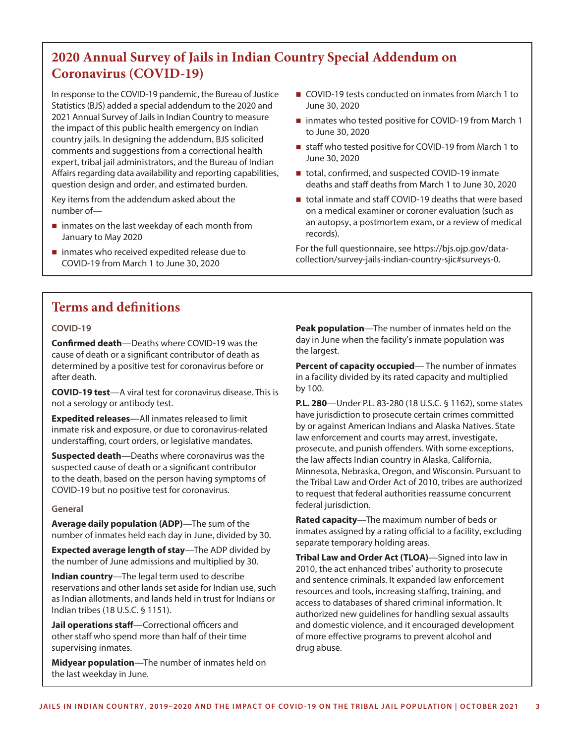### **2020 Annual Survey of Jails in Indian Country Special Addendum on Coronavirus (COVID-19)**

In response to the COVID-19 pandemic, the Bureau of Justice Statistics (BJS) added a special addendum to the 2020 and 2021 Annual Survey of Jails in Indian Country to measure the impact of this public health emergency on Indian country jails. In designing the addendum, BJS solicited comments and suggestions from a correctional health expert, tribal jail administrators, and the Bureau of Indian Affairs regarding data availability and reporting capabilities, question design and order, and estimated burden.

Key items from the addendum asked about the number of—

- inmates on the last weekday of each month from January to May 2020
- inmates who received expedited release due to COVID-19 from March 1 to June 30, 2020
- COVID-19 tests conducted on inmates from March 1 to June 30, 2020
- inmates who tested positive for COVID-19 from March 1 to June 30, 2020
- staff who tested positive for COVID-19 from March 1 to June 30, 2020
- total, confirmed, and suspected COVID-19 inmate deaths and staff deaths from March 1 to June 30, 2020
- total inmate and staff COVID-19 deaths that were based on a medical examiner or coroner evaluation (such as an autopsy, a postmortem exam, or a review of medical records).

For the full questionnaire, see [https://bjs.ojp.gov/data](https://bjs.ojp.gov/data-collection/survey-jails-indian-country-sjic#surveys-0)[collection/survey-jails-indian-country-sjic#s](https://bjs.ojp.gov/data-collection/survey-jails-indian-country-sjic#surveys-0)urveys-0.

### **Terms and definitions**

#### **COVID-19**

**Confirmed death**—Deaths where COVID-19 was the cause of death or a significant contributor of death as determined by a positive test for coronavirus before or after death.

**COVID-19 test**—A viral test for coronavirus disease. This is not a serology or antibody test.

**Expedited releases**—All inmates released to limit inmate risk and exposure, or due to coronavirus-related understaffing, court orders, or legislative mandates.

**Suspected death**—Deaths where coronavirus was the suspected cause of death or a significant contributor to the death, based on the person having symptoms of COVID-19 but no positive test for coronavirus.

#### **General**

**Average daily population (ADP)**—The sum of the number of inmates held each day in June, divided by 30.

**Expected average length of stay**—The ADP divided by the number of June admissions and multiplied by 30.

**Indian country**—The legal term used to describe reservations and other lands set aside for Indian use, such as Indian allotments, and lands held in trust for Indians or Indian tribes (18 U.S.C. § 1151).

**Jail operations staff**—Correctional officers and other staff who spend more than half of their time supervising inmates.

**Midyear population**—The number of inmates held on the last weekday in June.

**Peak population**—The number of inmates held on the day in June when the facility's inmate population was the largest.

**Percent of capacity occupied**— The number of inmates in a facility divided by its rated capacity and multiplied by 100.

**P.L. 280**—Under P.L. 83-280 (18 U.S.C. § 1162), some states have jurisdiction to prosecute certain crimes committed by or against American Indians and Alaska Natives. State law enforcement and courts may arrest, investigate, prosecute, and punish offenders. With some exceptions, the law affects Indian country in Alaska, California, Minnesota, Nebraska, Oregon, and Wisconsin. Pursuant to the Tribal Law and Order Act of 2010, tribes are authorized to request that federal authorities reassume concurrent federal jurisdiction.

**Rated capacity**—The maximum number of beds or inmates assigned by a rating official to a facility, excluding separate temporary holding areas.

**Tribal Law and Order Act (TLOA)**—Signed into law in 2010, the act enhanced tribes' authority to prosecute and sentence criminals. It expanded law enforcement resources and tools, increasing staffing, training, and access to databases of shared criminal information. It authorized new guidelines for handling sexual assaults and domestic violence, and it encouraged development of more effective programs to prevent alcohol and drug abuse.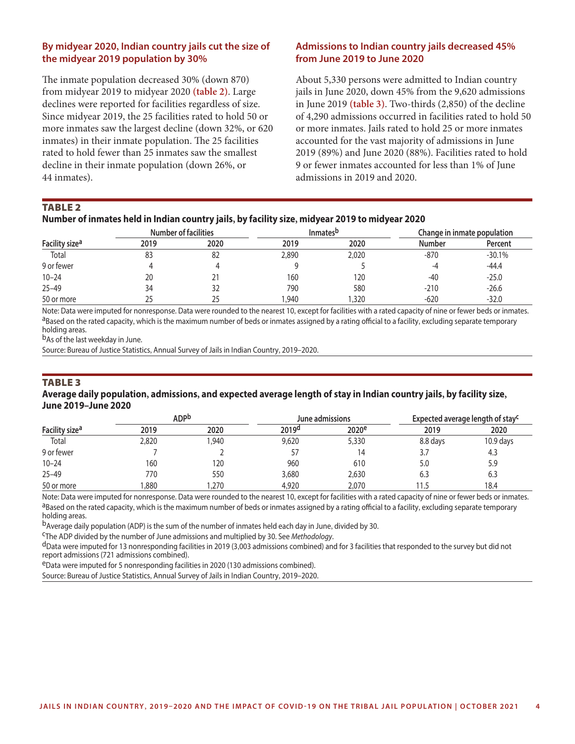#### **By midyear 2020, Indian country jails cut the size of the midyear 2019 population by 30%**

The inmate population decreased 30% (down 870) from midyear 2019 to midyear 2020 **(table 2)**. Large declines were reported for facilities regardless of size. Since midyear 2019, the 25 facilities rated to hold 50 or more inmates saw the largest decline (down 32%, or 620 inmates) in their inmate population. The 25 facilities rated to hold fewer than 25 inmates saw the smallest decline in their inmate population (down 26%, or 44 inmates).

#### **Admissions to Indian country jails decreased 45% from June 2019 to June 2020**

About 5,330 persons were admitted to Indian country jails in June 2020, down 45% from the 9,620 admissions in June 2019 **(table 3)**. Two-thirds (2,850) of the decline of 4,290 admissions occurred in facilities rated to hold 50 or more inmates. Jails rated to hold 25 or more inmates accounted for the vast majority of admissions in June 2019 (89%) and June 2020 (88%). Facilities rated to hold 9 or fewer inmates accounted for less than 1% of June admissions in 2019 and 2020.

#### **TABLE 2**

|                            |      | <b>Number of facilities</b> |       | <b>Inmates</b> <sup>p</sup> | Change in inmate population |          |  |
|----------------------------|------|-----------------------------|-------|-----------------------------|-----------------------------|----------|--|
| Facility size <sup>a</sup> | 2019 | 2020                        | 2019  | 2020                        | Number                      | Percent  |  |
| Total                      | 83   | -82                         | 2,890 | 2,020                       | -870                        | $-30.1%$ |  |
| 9 or fewer                 |      |                             |       |                             | -4                          | $-44.4$  |  |
| $10 - 24$                  | 20   | 21                          | 160   | 120                         | $-40$                       | $-25.0$  |  |
| $25 - 49$                  | 34   | 32                          | 790   | 580                         | $-210$                      | $-26.6$  |  |
| 50 or more                 | 25   | 25                          | .940  | ,320                        | $-620$                      | $-32.0$  |  |

Note: Data were imputed for nonresponse. Data were rounded to the nearest 10, except for facilities with a rated capacity of nine or fewer beds or inmates.<br><sup>a</sup>Based on the rated capacity, which is the maximum number of bed holding areas.

b<sub>As</sub> of the last weekday in June.

Source: Bureau of Justice Statistics, Annual Survey of Jails in Indian Country, 2019–2020.

#### **TABLE 3**

#### **Average daily population, admissions, and expected average length of stay in Indian country jails, by facility size, June 2019–June 2020**

|                            |       | <b>ADPb</b> |                   | June admissions   |          | Expected average length of stay <sup>c</sup> |  |  |
|----------------------------|-------|-------------|-------------------|-------------------|----------|----------------------------------------------|--|--|
| Facility size <sup>a</sup> | 2019  | 2020        | 2019 <sup>d</sup> | 2020 <sup>e</sup> | 2019     | 2020                                         |  |  |
| Total                      | 2,820 | ,940        | 9,620             | 5,330             | 8.8 days | $10.9$ days                                  |  |  |
| 9 or fewer                 |       |             | 57                | 14                | 3.7      | 4.3                                          |  |  |
| $10 - 24$                  | 160   | 120         | 960               | 610               | 5.0      | 5.9                                          |  |  |
| $25 - 49$                  | 770   | 550         | 3,680             | 2,630             | 6.3      | 6.3                                          |  |  |
| 50 or more                 | ,880  | ,270        | 4,920             | 2,070             | 11.5     | 18.4                                         |  |  |

Note: Data were imputed for nonresponse. Data were rounded to the nearest 10, except for facilities with a rated capacity of nine or fewer beds or inmates.<br><sup>a</sup>Based on the rated capacity, which is the maximum number of bed holding areas.

bAverage daily population (ADP) is the sum of the number of inmates held each day in June, divided by 30.<br><sup>C</sup>The ADP divided by the number of June admissions and multiplied by 30. See *Methodology*.

d<sub>Data</sub> were imputed for 13 nonresponding facilities in 2019 (3,003 admissions combined) and for 3 facilities that responded to the survey but did not report admissions (721 admissions combined).

eData were imputed for 5 nonresponding facilities in 2020 (130 admissions combined).

Source: Bureau of Justice Statistics, Annual Survey of Jails in Indian Country, 2019–2020.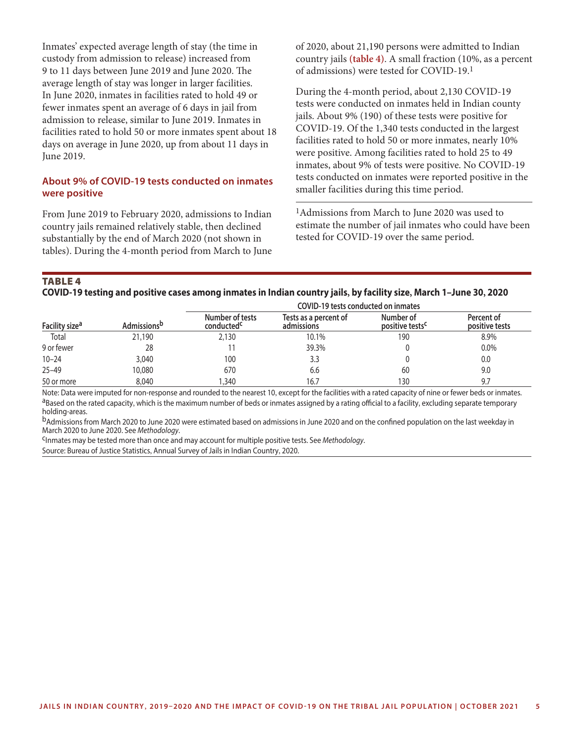Inmates' expected average length of stay (the time in custody from admission to release) increased from 9 to 11 days between June 2019 and June 2020. The average length of stay was longer in larger facilities. In June 2020, inmates in facilities rated to hold 49 or fewer inmates spent an average of 6 days in jail from admission to release, similar to June 2019. Inmates in facilities rated to hold 50 or more inmates spent about 18 days on average in June 2020, up from about 11 days in June 2019.

#### **About 9% of COVID-19 tests conducted on inmates were positive**

From June 2019 to February 2020, admissions to Indian country jails remained relatively stable, then declined substantially by the end of March 2020 (not shown in tables). During the 4-month period from March to June of 2020, about 21,190 persons were admitted to Indian country jails **(table 4)**. A small fraction (10%, as a percent of admissions) were tested for COVID-19.1

During the 4-month period, about 2,130 COVID-19 tests were conducted on inmates held in Indian county jails. About 9% (190) of these tests were positive for COVID-19. Of the 1,340 tests conducted in the largest facilities rated to hold 50 or more inmates, nearly 10% were positive. Among facilities rated to hold 25 to 49 inmates, about 9% of tests were positive. No COVID-19 tests conducted on inmates were reported positive in the smaller facilities during this time period.

1Admissions from March to June 2020 was used to estimate the number of jail inmates who could have been tested for COVID-19 over the same period.

#### **TABLE 4 COVID-19 testing and positive cases among inmates in Indian country jails, by facility size, March 1–June 30, 2020**

|                            |                         | COVID-19 tests conducted on inmates       |                                     |                                          |                              |  |  |  |  |  |  |
|----------------------------|-------------------------|-------------------------------------------|-------------------------------------|------------------------------------------|------------------------------|--|--|--|--|--|--|
| Facility size <sup>a</sup> | Admissions <sup>b</sup> | Number of tests<br>conducted <sup>c</sup> | Tests as a percent of<br>admissions | Number of<br>positive tests <sup>c</sup> | Percent of<br>positive tests |  |  |  |  |  |  |
| Total                      | 21,190                  | 2,130                                     | 10.1%                               | 190                                      | 8.9%                         |  |  |  |  |  |  |
| 9 or fewer                 | 28                      |                                           | 39.3%                               |                                          | 0.0%                         |  |  |  |  |  |  |
| $10 - 24$                  | 3,040                   | 100                                       | 3.3                                 |                                          | 0.0                          |  |  |  |  |  |  |
| $25 - 49$                  | 10.080                  | 670                                       | 6.6                                 | 60                                       | 9.0                          |  |  |  |  |  |  |
| 50 or more                 | 8,040                   | ,340                                      | 16.7                                | 130                                      | 9.7                          |  |  |  |  |  |  |

Note: Data were imputed for non-response and rounded to the nearest 10, except for the facilities with a rated capacity of nine or fewer beds or inmates.<br><sup>a</sup>Based on the rated capacity, which is the maximum number of beds holding-areas.

bAdmissions from March 2020 to June 2020 were estimated based on admissions in June 2020 and on the confined population on the last weekday in March 2020 to June 2020. See *Methodology*.

cInmates may be tested more than once and may account for multiple positive tests. See *Methodology*.

Source: Bureau of Justice Statistics, Annual Survey of Jails in Indian Country, 2020.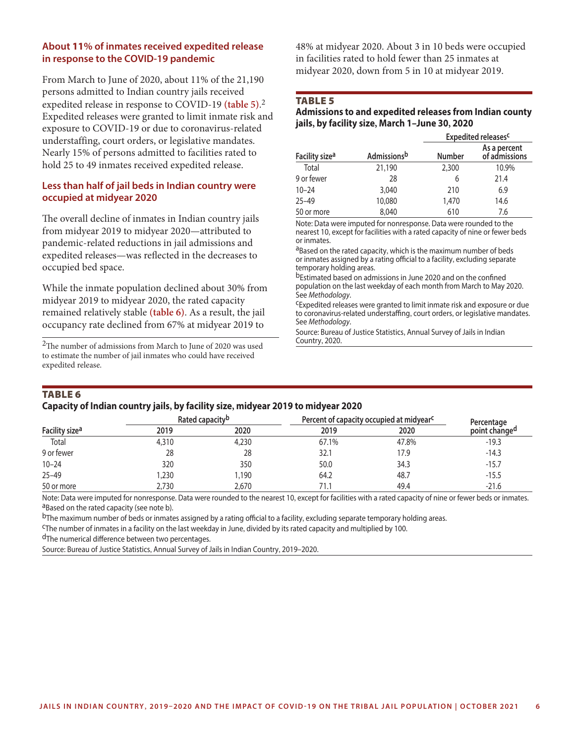#### **About 11% of inmates received expedited release in response to the COVID-19 pandemic**

From March to June of 2020, about 11% of the 21,190 persons admitted to Indian country jails received expedited release in response to COVID-19 **(table 5)**. 2 Expedited releases were granted to limit inmate risk and exposure to COVID-19 or due to coronavirus-related understaffing, court orders, or legislative mandates. Nearly 15% of persons admitted to facilities rated to hold 25 to 49 inmates received expedited release.

#### **Less than half of jail beds in Indian country were occupied at midyear 2020**

The overall decline of inmates in Indian country jails from midyear 2019 to midyear 2020—attributed to pandemic-related reductions in jail admissions and expedited releases—was reflected in the decreases to occupied bed space.

While the inmate population declined about 30% from midyear 2019 to midyear 2020, the rated capacity remained relatively stable **(table 6)**. As a result, the jail occupancy rate declined from 67% at midyear 2019 to

 $\rm{^2The}$  number of admissions from March to June of 2020 was used to estimate the number of jail inmates who could have received expedited release.

48% at midyear 2020. About 3 in 10 beds were occupied in facilities rated to hold fewer than 25 inmates at midyear 2020, down from 5 in 10 at midyear 2019.

#### TABLE<sub>5</sub>

#### **Admissions to and expedited releases from Indian county jails, by facility size, March 1–June 30, 2020**

|                            |                     | Expedited releases <sup>c</sup> |                               |  |  |  |  |
|----------------------------|---------------------|---------------------------------|-------------------------------|--|--|--|--|
| Facility size <sup>a</sup> | <b>Admissions</b> b | <b>Number</b>                   | As a percent<br>of admissions |  |  |  |  |
| Total                      | 21,190              | 2,300                           | 10.9%                         |  |  |  |  |
| 9 or fewer                 | 28                  | 6                               | 21.4                          |  |  |  |  |
| $10 - 24$                  | 3,040               | 210                             | 6.9                           |  |  |  |  |
| $25 - 49$                  | 10,080              | 1,470                           | 14.6                          |  |  |  |  |
| 50 or more                 | 8,040               | 610                             | 7.6                           |  |  |  |  |

Note: Data were imputed for nonresponse. Data were rounded to the nearest 10, except for facilities with a rated capacity of nine or fewer beds or inmates.

aBased on the rated capacity, which is the maximum number of beds or inmates assigned by a rating official to a facility, excluding separate temporary holding areas.

bEstimated based on admissions in June 2020 and on the confined population on the last weekday of each month from March to May 2020. See *Methodology*.

cExpedited releases were granted to limit inmate risk and exposure or due to coronavirus-related understaffing, court orders, or legislative mandates. See *Methodology*.

Source: Bureau of Justice Statistics, Annual Survey of Jails in Indian Country, 2020.

### **TABLE 6**

#### **Capacity of Indian country jails, by facility size, midyear 2019 to midyear 2020**

| Facility size <sup>a</sup> |       | Rated capacity <sup>b</sup> | Percent of capacity occupied at midyear <sup>c</sup> | Percentage |                           |  |
|----------------------------|-------|-----------------------------|------------------------------------------------------|------------|---------------------------|--|
|                            | 2019  | 2020                        | 2019                                                 | 2020       | point change <sup>a</sup> |  |
| Total                      | 4,310 | 4,230                       | 67.1%                                                | 47.8%      | $-19.3$                   |  |
| 9 or fewer                 | 28    | 28                          | 32.1                                                 | 17.9       | $-14.3$                   |  |
| $10 - 24$                  | 320   | 350                         | 50.0                                                 | 34.3       | $-15.7$                   |  |
| $25 - 49$                  | ,230  | 1,190                       | 64.2                                                 | 48.7       | $-15.5$                   |  |
| 50 or more                 | 2,730 | 2,670                       |                                                      | 49.4       | $-21.6$                   |  |

Note: Data were imputed for nonresponse. Data were rounded to the nearest 10, except for facilities with a rated capacity of nine or fewer beds or inmates.<br><sup>a</sup>Based on the rated capacity (see note b).

<sup>b</sup>The maximum number of beds or inmates assigned by a rating official to a facility, excluding separate temporary holding areas.<br><sup>C</sup>The number of inmates in a facility on the last weekday in June, divided by its rated cap

dThe numerical difference between two percentages.

Source: Bureau of Justice Statistics, Annual Survey of Jails in Indian Country, 2019–2020.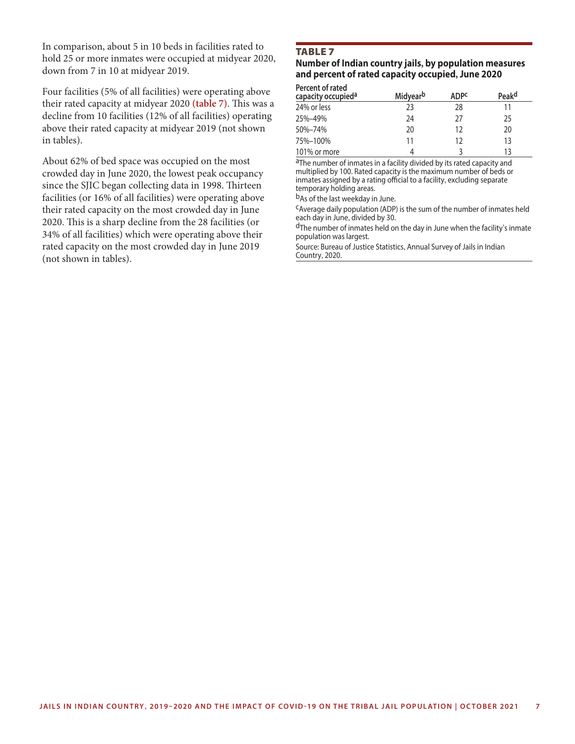In comparison, about 5 in 10 beds in facilities rated to hold 25 or more inmates were occupied at midyear 2020, down from 7 in 10 at midyear 2019.

Four facilities (5% of all facilities) were operating above their rated capacity at midyear 2020 **(table 7)**. This was a decline from 10 facilities (12% of all facilities) operating above their rated capacity at midyear 2019 (not shown in tables).

About 62% of bed space was occupied on the most crowded day in June 2020, the lowest peak occupancy since the SJIC began collecting data in 1998. Thirteen facilities (or 16% of all facilities) were operating above their rated capacity on the most crowded day in June 2020. This is a sharp decline from the 28 facilities (or 34% of all facilities) which were operating above their rated capacity on the most crowded day in June 2019 (not shown in tables).

#### **TABLE 7**

#### **Number of Indian country jails, by population measures and percent of rated capacity occupied, June 2020**

| Percent of rated<br>capacity occupied <sup>a</sup> | Midyear <sup>b</sup> | <b>ADPC</b> | Peak <sup>d</sup> |
|----------------------------------------------------|----------------------|-------------|-------------------|
| 24% or less                                        | 23                   | 28          | 11                |
| 25%-49%                                            | 24                   | 27          | 25                |
| 50%-74%                                            | 20                   | 12          | 20                |
| 75%-100%                                           | 11                   | 12          | 13                |
| 101% or more                                       |                      |             | 13                |

aThe number of inmates in a facility divided by its rated capacity and multiplied by 100. Rated capacity is the maximum number of beds or inmates assigned by a rating official to a facility, excluding separate temporary holding areas.

bAs of the last weekday in June.

cAverage daily population (ADP) is the sum of the number of inmates held each day in June, divided by 30.

dThe number of inmates held on the day in June when the facility's inmate population was largest.

Source: Bureau of Justice Statistics, Annual Survey of Jails in Indian Country, 2020.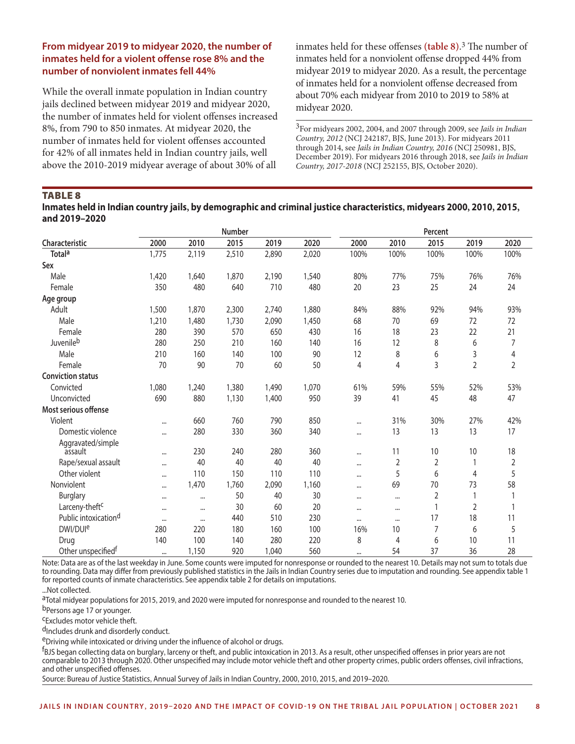#### **From midyear 2019 to midyear 2020, the number of inmates held for a violent offense rose 8% and the number of nonviolent inmates fell 44%**

While the overall inmate population in Indian country jails declined between midyear 2019 and midyear 2020, the number of inmates held for violent offenses increased 8%, from 790 to 850 inmates. At midyear 2020, the number of inmates held for violent offenses accounted for 42% of all inmates held in Indian country jails, well above the 2010-2019 midyear average of about 30% of all

inmates held for these offenses **(table 8)**. 3 The number of inmates held for a nonviolent offense dropped 44% from midyear 2019 to midyear 2020. As a result, the percentage of inmates held for a nonviolent offense decreased from about 70% each midyear from 2010 to 2019 to 58% at midyear 2020.

3For midyears 2002, 2004, and 2007 through 2009, see *[Jails in Indian](https://bjs.ojp.gov/content/pub/pdf/jic12.pdf)  [Country, 2012](https://bjs.ojp.gov/content/pub/pdf/jic12.pdf)* (NCJ 242187, BJS, June 2013). For midyears 2011 through 2014, see *[Jails in Indian Country, 2016](https://bjs.ojp.gov/content/pub/pdf/jic16.pdf)* (NCJ 250981, BJS, December 2019). For midyears 2016 through 2018, see *[Jails in Indian](https://bjs.ojp.gov/content/pub/pdf/jic1718.pdf)  [Country, 2017-2018](https://bjs.ojp.gov/content/pub/pdf/jic1718.pdf)* (NCJ 252155, BJS, October 2020).

#### TABLE<sub>8</sub>

**Inmates held in Indian country jails, by demographic and criminal justice characteristics, midyears 2000, 2010, 2015, and 2019–2020**

|                                  |          |          | <b>Number</b> |       |       |                |                | Percent |                |                |
|----------------------------------|----------|----------|---------------|-------|-------|----------------|----------------|---------|----------------|----------------|
| Characteristic                   | 2000     | 2010     | 2015          | 2019  | 2020  | 2000           | 2010           | 2015    | 2019           | 2020           |
| <b>Totala</b>                    | 1,775    | 2,119    | 2,510         | 2,890 | 2,020 | 100%           | 100%           | 100%    | 100%           | 100%           |
| Sex                              |          |          |               |       |       |                |                |         |                |                |
| Male                             | 1,420    | 1,640    | 1,870         | 2,190 | 1,540 | 80%            | 77%            | 75%     | 76%            | 76%            |
| Female                           | 350      | 480      | 640           | 710   | 480   | 20             | 23             | 25      | 24             | 24             |
| Age group                        |          |          |               |       |       |                |                |         |                |                |
| Adult                            | 1,500    | 1,870    | 2,300         | 2,740 | 1,880 | 84%            | 88%            | 92%     | 94%            | 93%            |
| Male                             | 1,210    | 1,480    | 1,730         | 2,090 | 1,450 | 68             | 70             | 69      | 72             | 72             |
| Female                           | 280      | 390      | 570           | 650   | 430   | 16             | 18             | 23      | 22             | 21             |
| Juvenileb                        | 280      | 250      | 210           | 160   | 140   | 16             | 12             | 8       | 6              | 7              |
| Male                             | 210      | 160      | 140           | 100   | 90    | 12             | 8              | 6       | 3              | $\overline{4}$ |
| Female                           | 70       | 90       | 70            | 60    | 50    | $\overline{4}$ | $\overline{4}$ | 3       | $\overline{2}$ | $\overline{2}$ |
| <b>Conviction status</b>         |          |          |               |       |       |                |                |         |                |                |
| Convicted                        | 1,080    | 1,240    | 1,380         | 1,490 | 1,070 | 61%            | 59%            | 55%     | 52%            | 53%            |
| Unconvicted                      | 690      | 880      | 1,130         | 1,400 | 950   | 39             | 41             | 45      | 48             | 47             |
| Most serious offense             |          |          |               |       |       |                |                |         |                |                |
| Violent                          | $\cdots$ | 660      | 760           | 790   | 850   |                | 31%            | 30%     | 27%            | 42%            |
| Domestic violence                |          | 280      | 330           | 360   | 340   |                | 13             | 13      | 13             | 17             |
| Aggravated/simple                |          |          |               |       |       |                |                |         |                |                |
| assault                          | $\cdots$ | 230      | 240           | 280   | 360   | $\cdots$       | 11             | 10      | 10             | 18             |
| Rape/sexual assault              | $\cdots$ | 40       | 40            | 40    | 40    | $\cdots$       | $\overline{2}$ | 2       | 1              | $\overline{2}$ |
| Other violent                    |          | 110      | 150           | 110   | 110   |                | 5              | 6       | 4              | 5              |
| Nonviolent                       |          | 1,470    | 1,760         | 2,090 | 1,160 | $\cdots$       | 69             | 70      | 73             | 58             |
| <b>Burglary</b>                  |          | $\cdots$ | 50            | 40    | 30    | $\cdots$       | $\cdots$       | 2       | 1              |                |
| Larceny-theft <sup>c</sup>       | $\cdots$ | $\cdots$ | 30            | 60    | 20    | $\ddotsc$      | $\cdots$       | 1       | $\overline{2}$ | 1              |
| Public intoxication <sup>d</sup> | $\cdots$ | $\cdots$ | 440           | 510   | 230   | $\cdots$       | $\cdots$       | 17      | 18             | 11             |
| DWI/DUI <sup>e</sup>             | 280      | 220      | 180           | 160   | 100   | 16%            | 10             | 7       | 6              | 5              |
| Drug                             | 140      | 100      | 140           | 280   | 220   | 8              | 4              | 6       | 10             | 11             |
| Other unspecified <sup>f</sup>   | $\cdots$ | 1,150    | 920           | 1,040 | 560   | $\cdots$       | 54             | 37      | 36             | 28             |

Note: Data are as of the last weekday in June. Some counts were imputed for nonresponse or rounded to the nearest 10. Details may not sum to totals due to rounding. Data may differ from previously published statistics in the Jails in Indian Country series due to imputation and rounding. See appendix table 1 for reported counts of inmate characteristics. See appendix table 2 for details on imputations.

...Not collected.

aTotal midyear populations for 2015, 2019, and 2020 were imputed for nonresponse and rounded to the nearest 10.

b<sub>Persons age 17 or younger.</sub>

cExcludes motor vehicle theft.

d<sub>Includes</sub> drunk and disorderly conduct.

eDriving while intoxicated or driving under the influence of alcohol or drugs.

f BJS began collecting data on burglary, larceny or theft, and public intoxication in 2013. As a result, other unspecified offenses in prior years are not comparable to 2013 through 2020. Other unspecified may include motor vehicle theft and other property crimes, public orders offenses, civil infractions, and other unspecified offenses.

Source: Bureau of Justice Statistics, Annual Survey of Jails in Indian Country, 2000, 2010, 2015, and 2019–2020.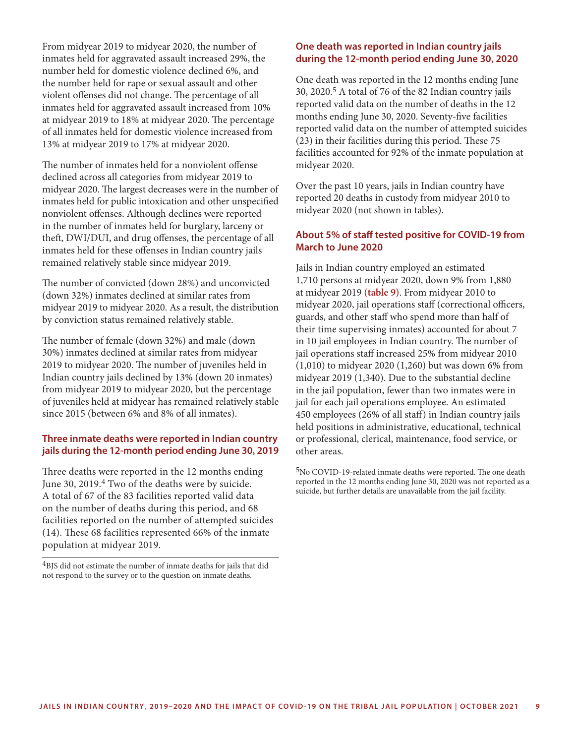From midyear 2019 to midyear 2020, the number of inmates held for aggravated assault increased 29%, the number held for domestic violence declined 6%, and the number held for rape or sexual assault and other violent offenses did not change. The percentage of all inmates held for aggravated assault increased from 10% at midyear 2019 to 18% at midyear 2020. The percentage of all inmates held for domestic violence increased from 13% at midyear 2019 to 17% at midyear 2020.

The number of inmates held for a nonviolent offense declined across all categories from midyear 2019 to midyear 2020. The largest decreases were in the number of inmates held for public intoxication and other unspecified nonviolent offenses. Although declines were reported in the number of inmates held for burglary, larceny or theft, DWI/DUI, and drug offenses, the percentage of all inmates held for these offenses in Indian country jails remained relatively stable since midyear 2019.

The number of convicted (down 28%) and unconvicted (down 32%) inmates declined at similar rates from midyear 2019 to midyear 2020. As a result, the distribution by conviction status remained relatively stable.

The number of female (down 32%) and male (down 30%) inmates declined at similar rates from midyear 2019 to midyear 2020. The number of juveniles held in Indian country jails declined by 13% (down 20 inmates) from midyear 2019 to midyear 2020, but the percentage of juveniles held at midyear has remained relatively stable since 2015 (between 6% and 8% of all inmates).

#### **Three inmate deaths were reported in Indian country jails during the 12-month period ending June 30, 2019**

Three deaths were reported in the 12 months ending June 30, 2019.<sup>4</sup> Two of the deaths were by suicide. A total of 67 of the 83 facilities reported valid data on the number of deaths during this period, and 68 facilities reported on the number of attempted suicides (14). These 68 facilities represented 66% of the inmate population at midyear 2019.

<sup>4</sup>BJS did not estimate the number of inmate deaths for jails that did not respond to the survey or to the question on inmate deaths.

#### **One death was reported in Indian country jails during the 12-month period ending June 30, 2020**

One death was reported in the 12 months ending June 30, 2020.5 A total of 76 of the 82 Indian country jails reported valid data on the number of deaths in the 12 months ending June 30, 2020. Seventy-five facilities reported valid data on the number of attempted suicides (23) in their facilities during this period. These 75 facilities accounted for 92% of the inmate population at midyear 2020.

Over the past 10 years, jails in Indian country have reported 20 deaths in custody from midyear 2010 to midyear 2020 (not shown in tables).

#### **About 5% of staff tested positive for COVID-19 from March to June 2020**

Jails in Indian country employed an estimated 1,710 persons at midyear 2020, down 9% from 1,880 at midyear 2019 **(table 9)**. From midyear 2010 to midyear 2020, jail operations staff (correctional officers, guards, and other staff who spend more than half of their time supervising inmates) accounted for about 7 in 10 jail employees in Indian country. The number of jail operations staff increased 25% from midyear 2010 (1,010) to midyear 2020 (1,260) but was down 6% from midyear 2019 (1,340). Due to the substantial decline in the jail population, fewer than two inmates were in jail for each jail operations employee. An estimated 450 employees (26% of all staff) in Indian country jails held positions in administrative, educational, technical or professional, clerical, maintenance, food service, or other areas.

5No COVID-19-related inmate deaths were reported. The one death reported in the 12 months ending June 30, 2020 was not reported as a suicide, but further details are unavailable from the jail facility.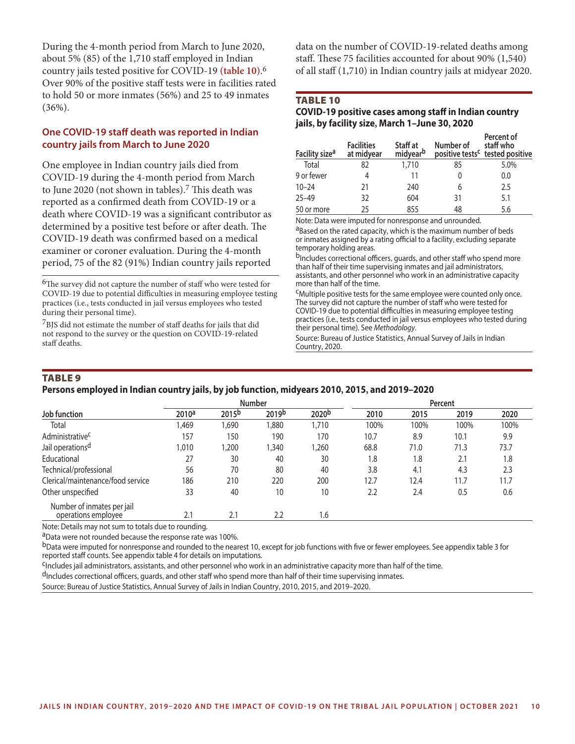During the 4-month period from March to June 2020, about 5% (85) of the 1,710 staff employed in Indian country jails tested positive for COVID-19 **(table 10)**. 6 Over 90% of the positive staff tests were in facilities rated to hold 50 or more inmates (56%) and 25 to 49 inmates (36%).

#### **One COVID-19 staff death was reported in Indian country jails from March to June 2020**

One employee in Indian country jails died from COVID-19 during the 4-month period from March to June 2020 (not shown in tables).<sup>7</sup> This death was reported as a confirmed death from COVID-19 or a death where COVID-19 was a significant contributor as determined by a positive test before or after death. The COVID-19 death was confirmed based on a medical examiner or coroner evaluation. During the 4-month period, 75 of the 82 (91%) Indian country jails reported

<sup>6</sup>The survey did not capture the number of staff who were tested for COVID-19 due to potential difficulties in measuring employee testing practices (i.e., tests conducted in jail versus employees who tested during their personal time).

7BJS did not estimate the number of staff deaths for jails that did not respond to the survey or the question on COVID-19-related staff deaths.

data on the number of COVID-19-related deaths among staff. These 75 facilities accounted for about 90% (1,540) of all staff (1,710) in Indian country jails at midyear 2020.

#### Table 10

#### **COVID-19 positive cases among staff in Indian country jails, by facility size, March 1–June 30, 2020**

| Facility size <sup>a</sup> | <b>Facilities</b><br>at midyear | Staff at<br>midyearb | Number of | Percent of<br>staff who<br>positive tests <sup>c</sup> tested positive |
|----------------------------|---------------------------------|----------------------|-----------|------------------------------------------------------------------------|
| Total                      | 82                              | 1,710                | 85        | 5.0%                                                                   |
| 9 or fewer                 | 4                               | 11                   |           | 0.0                                                                    |
| $10 - 24$                  | 21                              | 240                  | 6         | 2.5                                                                    |
| $25 - 49$                  | 32                              | 604                  | 31        | 5.1                                                                    |
| 50 or more                 | 25                              | 855                  | 48        | 5.6                                                                    |

Note: Data were imputed for nonresponse and unrounded.

aBased on the rated capacity, which is the maximum number of beds or inmates assigned by a rating official to a facility, excluding separate temporary holding areas.

b<sub>Includes</sub> correctional officers, quards, and other staff who spend more than half of their time supervising inmates and jail administrators, assistants, and other personnel who work in an administrative capacity more than half of the time.

cMultiple positive tests for the same employee were counted only once. The survey did not capture the number of staff who were tested for COVID-19 due to potential difficulties in measuring employee testing practices (i.e., tests conducted in jail versus employees who tested during their personal time). See *Methodology*.

Source: Bureau of Justice Statistics, Annual Survey of Jails in Indian Country, 2020.

#### **TABLE 9**

#### **Persons employed in Indian country jails, by job function, midyears 2010, 2015, and 2019–2020**

|                                   |                   |                   | <b>Number</b>     |                   | Percent |      |      |      |  |
|-----------------------------------|-------------------|-------------------|-------------------|-------------------|---------|------|------|------|--|
| Job function                      | 2010 <sup>a</sup> | 2015 <sup>b</sup> | 2019 <sup>b</sup> | 2020 <sup>b</sup> | 2010    | 2015 | 2019 | 2020 |  |
| Total                             | 1,469             | ,690              | ,880              | 1,710             | 100%    | 100% | 100% | 100% |  |
| Administrative <sup>C</sup>       | 157               | 150               | 190               | 170               | 10.7    | 8.9  | 10.1 | 9.9  |  |
| Jail operations <sup>d</sup>      | .010              | 1,200             | ,340              | ,260              | 68.8    | 71.0 | 71.3 | 73.7 |  |
| Educational                       | 27                | 30                | 40                | 30                | 1.8     | 1.8  | 2.1  | 1.8  |  |
| Technical/professional            | 56                | 70                | 80                | 40                | 3.8     | 4.1  | 4.3  | 2.3  |  |
| Clerical/maintenance/food service | 186               | 210               | 220               | 200               | 12.7    | 12.4 | 11.7 | 11.7 |  |
| Other unspecified                 | 33                | 40                | 10                | 10                | 2.2     | 2.4  | 0.5  | 0.6  |  |
| Number of inmates per jail        |                   |                   |                   |                   |         |      |      |      |  |
| operations employee               | 2.1               | 2.1               | 2.2               | 6.،               |         |      |      |      |  |

Note: Details may not sum to totals due to rounding.

aData were not rounded because the response rate was 100%.

bData were imputed for nonresponse and rounded to the nearest 10, except for job functions with five or fewer employees. See appendix table 3 for reported staff counts. See appendix table 4 for details on imputations.

<sup>C</sup>Includes jail administrators, assistants, and other personnel who work in an administrative capacity more than half of the time.

dIncludes correctional officers, guards, and other staff who spend more than half of their time supervising inmates.

Source: Bureau of Justice Statistics, Annual Survey of Jails in Indian Country, 2010, 2015, and 2019–2020.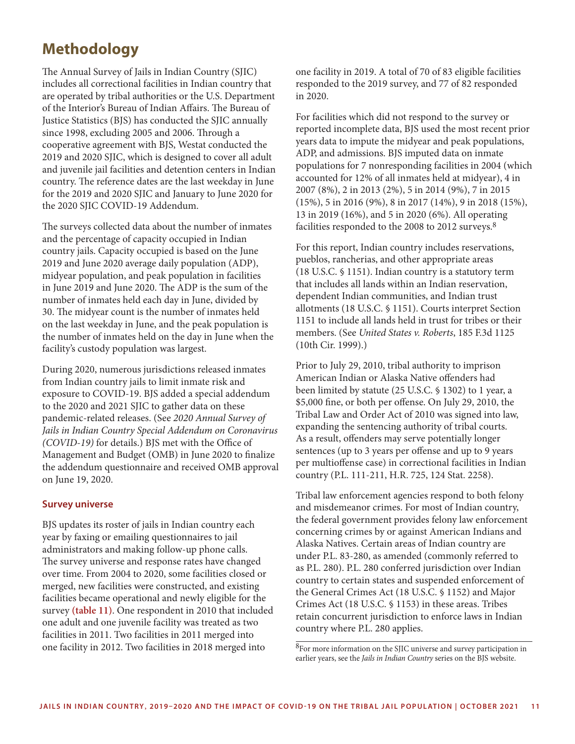## **Methodology**

The Annual Survey of Jails in Indian Country (SJIC) includes all correctional facilities in Indian country that are operated by tribal authorities or the U.S. Department of the Interior's Bureau of Indian Affairs. The Bureau of Justice Statistics (BJS) has conducted the SJIC annually since 1998, excluding 2005 and 2006. Through a cooperative agreement with BJS, Westat conducted the 2019 and 2020 SJIC, which is designed to cover all adult and juvenile jail facilities and detention centers in Indian country. The reference dates are the last weekday in June for the 2019 and 2020 SJIC and January to June 2020 for the 2020 SJIC COVID-19 Addendum.

The surveys collected data about the number of inmates and the percentage of capacity occupied in Indian country jails. Capacity occupied is based on the June 2019 and June 2020 average daily population (ADP), midyear population, and peak population in facilities in June 2019 and June 2020. The ADP is the sum of the number of inmates held each day in June, divided by 30. The midyear count is the number of inmates held on the last weekday in June, and the peak population is the number of inmates held on the day in June when the facility's custody population was largest.

During 2020, numerous jurisdictions released inmates from Indian country jails to limit inmate risk and exposure to COVID-19. BJS added a special addendum to the 2020 and 2021 SJIC to gather data on these pandemic-related releases. (See *2020 Annual Survey of Jails in Indian Country Special Addendum on Coronavirus (COVID-19)* for details.) BJS met with the Office of Management and Budget (OMB) in June 2020 to finalize the addendum questionnaire and received OMB approval on June 19, 2020.

#### **Survey universe**

BJS updates its roster of jails in Indian country each year by faxing or emailing questionnaires to jail administrators and making follow-up phone calls. The survey universe and response rates have changed over time. From 2004 to 2020, some facilities closed or merged, new facilities were constructed, and existing facilities became operational and newly eligible for the survey **(table 11)**. One respondent in 2010 that included one adult and one juvenile facility was treated as two facilities in 2011. Two facilities in 2011 merged into one facility in 2012. Two facilities in 2018 merged into

one facility in 2019. A total of 70 of 83 eligible facilities responded to the 2019 survey, and 77 of 82 responded in 2020.

For facilities which did not respond to the survey or reported incomplete data, BJS used the most recent prior years data to impute the midyear and peak populations, ADP, and admissions. BJS imputed data on inmate populations for 7 nonresponding facilities in 2004 (which accounted for 12% of all inmates held at midyear), 4 in 2007 (8%), 2 in 2013 (2%), 5 in 2014 (9%), 7 in 2015 (15%), 5 in 2016 (9%), 8 in 2017 (14%), 9 in 2018 (15%), 13 in 2019 (16%), and 5 in 2020 (6%). All operating facilities responded to the 2008 to 2012 surveys.8

For this report, Indian country includes reservations, pueblos, rancherias, and other appropriate areas (18 U.S.C. § 1151). Indian country is a statutory term that includes all lands within an Indian reservation, dependent Indian communities, and Indian trust allotments (18 U.S.C. § 1151). Courts interpret Section 1151 to include all lands held in trust for tribes or their members. (See *United States v. Roberts*, 185 F.3d 1125 (10th Cir. 1999).)

Prior to July 29, 2010, tribal authority to imprison American Indian or Alaska Native offenders had been limited by statute (25 U.S.C. § 1302) to 1 year, a \$5,000 fine, or both per offense. On July 29, 2010, the Tribal Law and Order Act of 2010 was signed into law, expanding the sentencing authority of tribal courts. As a result, offenders may serve potentially longer sentences (up to 3 years per offense and up to 9 years per multioffense case) in correctional facilities in Indian country (P.L. 111-211, H.R. 725, 124 Stat. 2258).

Tribal law enforcement agencies respond to both felony and misdemeanor crimes. For most of Indian country, the federal government provides felony law enforcement concerning crimes by or against American Indians and Alaska Natives. Certain areas of Indian country are under P.L. 83-280, as amended (commonly referred to as P.L. 280). P.L. 280 conferred jurisdiction over Indian country to certain states and suspended enforcement of the General Crimes Act (18 U.S.C. § 1152) and Major Crimes Act (18 U.S.C. § 1153) in these areas. Tribes retain concurrent jurisdiction to enforce laws in Indian country where P.L. 280 applies.

8For more information on the SJIC universe and survey participation in earlier years, see the *Jails in Indian Country* series on the BJS [website.](https://bjs.ojp.gov/library/publications/list?series_filter=Jails%20in%20Indian%20Country)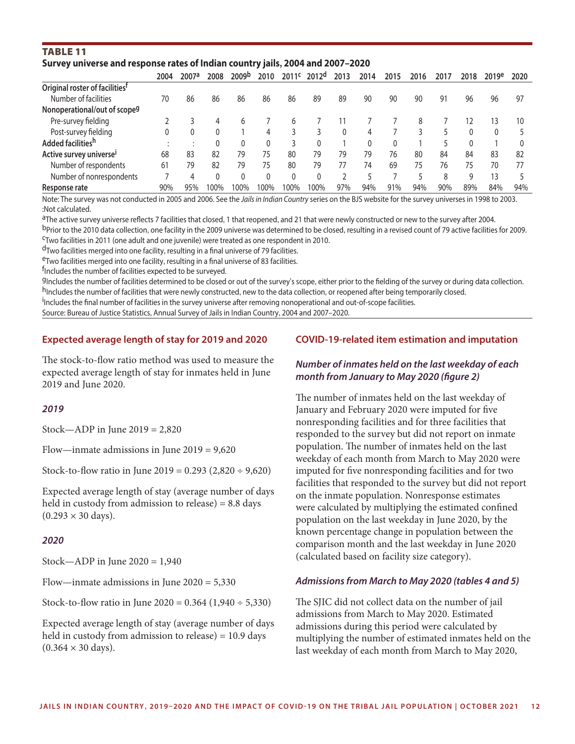#### Table 11 **Survey universe and response rates of Indian country jails, 2004 and 2007–2020**

|                                            | 2004 | 2007a | 2008 | 2009 <sup>b</sup> | 2010 | 2011 <sup>c</sup> | 2012 <sup>d</sup> | 2013 | 2014 | 2015 | 2016 | 2017 | 2018 | 2019 <sup>e</sup> | 2020 |
|--------------------------------------------|------|-------|------|-------------------|------|-------------------|-------------------|------|------|------|------|------|------|-------------------|------|
| Original roster of facilities <sup>t</sup> |      |       |      |                   |      |                   |                   |      |      |      |      |      |      |                   |      |
| Number of facilities                       | 70   | 86    | 86   | 86                | 86   | 86                | 89                | 89   | 90   | 90   | 90   | 91   | 96   | 96                | 97   |
| Nonoperational/out of scope <sup>g</sup>   |      |       |      |                   |      |                   |                   |      |      |      |      |      |      |                   |      |
| Pre-survey fielding                        |      |       | 4    | h                 |      |                   |                   |      |      |      | 8    |      |      | 13                | 10   |
| Post-survey fielding                       |      |       |      |                   | 4    |                   |                   |      | 4    |      |      |      |      |                   |      |
| Added facilities <sup>h</sup>              |      |       |      |                   | 0    |                   | 0                 |      | 0    |      |      |      | 0    |                   |      |
| Active survey universe <sup>i</sup>        | 68   | 83    | 82   | 79                | 75   | 80                | 79                | 79   | 79   | 76   | 80   | 84   | 84   | 83                | 82   |
| Number of respondents                      | 61   | 79    | 82   | 79                | 75   | 80                | 79                |      | 74   | 69   | 75   | 76   | 75   | 70                | 77   |
| Number of nonrespondents                   |      |       |      | 0                 | 0    | 0                 | 0                 |      |      |      |      | 8    | q    | 13                |      |
| Response rate                              | 90%  | 95%   | 100% | 100%              | 100% | $00\%$            | 100%              | 97%  | 94%  | 91%  | 94%  | 90%  | 89%  | 84%               | 94%  |

Note: The survey was not conducted in 2005 and 2006. See the *Jails in Indian Country* series on the BJS website for the survey universes in 1998 to 2003. :Not calculated.

aThe active survey universe reflects 7 facilities that closed, 1 that reopened, and 21 that were newly constructed or new to the survey after 2004.

b<sub>Prior</sub> to the 2010 data collection, one facility in the 2009 universe was determined to be closed, resulting in a revised count of 79 active facilities for 2009.<br><sup>C</sup>Two facilities in 2011 (one adult and one juvenile) wer

<sup>d</sup>Two facilities merged into one facility, resulting in a final universe of 79 facilities.<br><sup>e</sup>Two facilities merged into one facility, resulting in a final universe of 83 facilities.

<sup>f</sup>Includes the number of facilities expected to be surveyed.

9Includes the number of facilities determined to be closed or out of the survey's scope, either prior to the fielding of the survey or during data collection. h<sub>Includes the number of facilities that were newly constructed, new to the data collection, or reopened after being temporarily closed.</sub>

i Includes the final number of facilities in the survey universe after removing nonoperational and out-of-scope facilities.

Source: Bureau of Justice Statistics, Annual Survey of Jails in Indian Country, 2004 and 2007–2020.

#### **Expected average length of stay for 2019 and 2020**

The stock-to-flow ratio method was used to measure the expected average length of stay for inmates held in June 2019 and June 2020.

#### *2019*

Stock—ADP in June 2019 = 2,820

Flow—inmate admissions in June 2019 = 9,620

Stock-to-flow ratio in June 2019 =  $0.293$  (2,820 ÷ 9,620)

Expected average length of stay (average number of days held in custody from admission to release) = 8.8 days  $(0.293 \times 30 \text{ days})$ .

#### *2020*

Stock—ADP in June 2020 = 1,940

Flow—inmate admissions in June  $2020 = 5,330$ 

Stock-to-flow ratio in June 2020 =  $0.364$  (1,940 ÷ 5,330)

Expected average length of stay (average number of days held in custody from admission to release) = 10.9 days  $(0.364 \times 30 \text{ days})$ .

#### **COVID-19-related item estimation and imputation**

#### *Number of inmates held on the last weekday of each month from January to May 2020 (figure 2)*

The number of inmates held on the last weekday of January and February 2020 were imputed for five nonresponding facilities and for three facilities that responded to the survey but did not report on inmate population. The number of inmates held on the last weekday of each month from March to May 2020 were imputed for five nonresponding facilities and for two facilities that responded to the survey but did not report on the inmate population. Nonresponse estimates were calculated by multiplying the estimated confined population on the last weekday in June 2020, by the known percentage change in population between the comparison month and the last weekday in June 2020 (calculated based on facility size category).

#### *Admissions from March to May 2020 (tables 4 and 5)*

The SJIC did not collect data on the number of jail admissions from March to May 2020. Estimated admissions during this period were calculated by multiplying the number of estimated inmates held on the last weekday of each month from March to May 2020,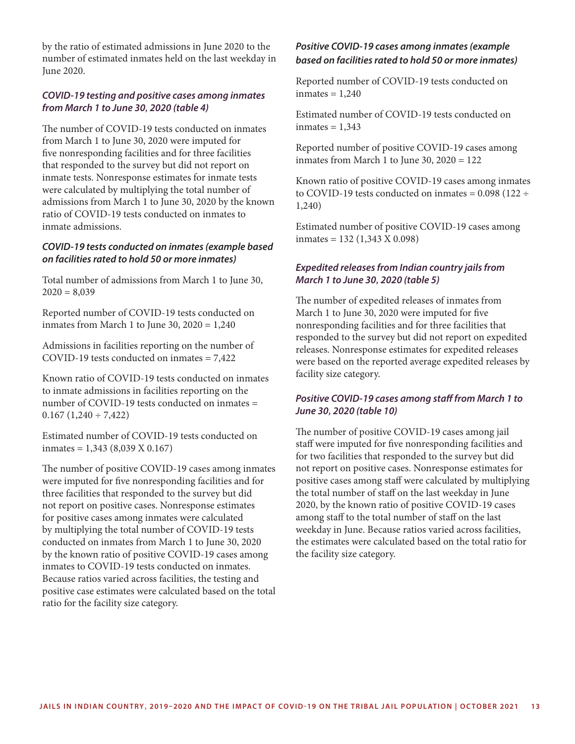by the ratio of estimated admissions in June 2020 to the number of estimated inmates held on the last weekday in June 2020.

#### *COVID-19 testing and positive cases among inmates from March 1 to June 30, 2020 (table 4)*

The number of COVID-19 tests conducted on inmates from March 1 to June 30, 2020 were imputed for five nonresponding facilities and for three facilities that responded to the survey but did not report on inmate tests. Nonresponse estimates for inmate tests were calculated by multiplying the total number of admissions from March 1 to June 30, 2020 by the known ratio of COVID-19 tests conducted on inmates to inmate admissions.

#### *COVID-19 tests conducted on inmates (example based on facilities rated to hold 50 or more inmates)*

Total number of admissions from March 1 to June 30,  $2020 = 8,039$ 

Reported number of COVID-19 tests conducted on inmates from March 1 to June 30,  $2020 = 1,240$ 

Admissions in facilities reporting on the number of COVID-19 tests conducted on inmates = 7,422

Known ratio of COVID-19 tests conducted on inmates to inmate admissions in facilities reporting on the number of COVID-19 tests conducted on inmates =  $0.167 (1,240 \div 7,422)$ 

Estimated number of COVID-19 tests conducted on  $inmates = 1,343 (8,039 X 0.167)$ 

The number of positive COVID-19 cases among inmates were imputed for five nonresponding facilities and for three facilities that responded to the survey but did not report on positive cases. Nonresponse estimates for positive cases among inmates were calculated by multiplying the total number of COVID-19 tests conducted on inmates from March 1 to June 30, 2020 by the known ratio of positive COVID-19 cases among inmates to COVID-19 tests conducted on inmates. Because ratios varied across facilities, the testing and positive case estimates were calculated based on the total ratio for the facility size category.

#### *Positive COVID-19 cases among inmates (example based on facilities rated to hold 50 or more inmates)*

Reported number of COVID-19 tests conducted on  $inmates = 1,240$ 

Estimated number of COVID-19 tests conducted on  $inmates = 1,343$ 

Reported number of positive COVID-19 cases among inmates from March 1 to June 30,  $2020 = 122$ 

Known ratio of positive COVID-19 cases among inmates to COVID-19 tests conducted on inmates =  $0.098$  (122 ÷ 1,240)

Estimated number of positive COVID-19 cases among  $inmates = 132 (1,343 X 0.098)$ 

### *Expedited releases from Indian country jails from March 1 to June 30, 2020 (table 5)*

The number of expedited releases of inmates from March 1 to June 30, 2020 were imputed for five nonresponding facilities and for three facilities that responded to the survey but did not report on expedited releases. Nonresponse estimates for expedited releases were based on the reported average expedited releases by facility size category.

#### *Positive COVID-19 cases among staff from March 1 to June 30, 2020 (table 10)*

The number of positive COVID-19 cases among jail staff were imputed for five nonresponding facilities and for two facilities that responded to the survey but did not report on positive cases. Nonresponse estimates for positive cases among staff were calculated by multiplying the total number of staff on the last weekday in June 2020, by the known ratio of positive COVID-19 cases among staff to the total number of staff on the last weekday in June. Because ratios varied across facilities, the estimates were calculated based on the total ratio for the facility size category.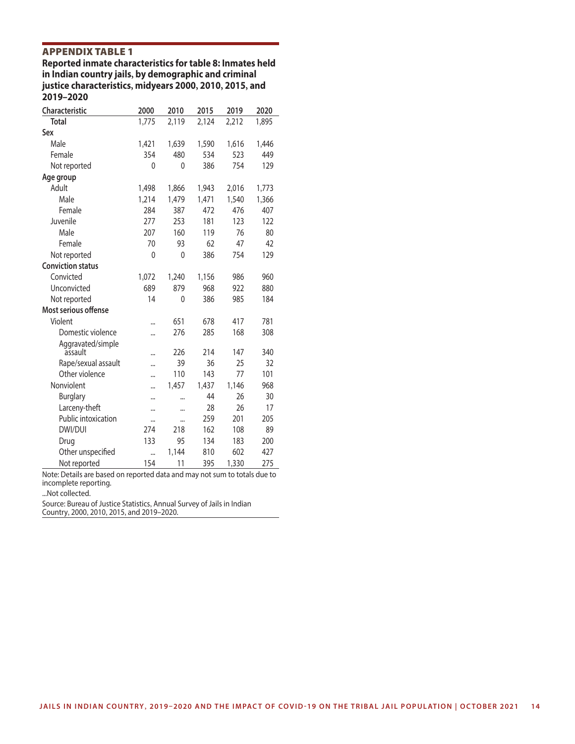**APPENDIX TABLE 1**<br>Reported inmate characteristics for table 8: Inmates held in Indian country jails, by demographic and criminal justice characteristics, midyears 2000, 2010, 2015, and 2019-2020

| <b>Characteristic</b>    | 2000         | 2010         | 2015  | 2019  | 2020  |
|--------------------------|--------------|--------------|-------|-------|-------|
| <b>Total</b>             | 1,775        | 2,119        | 2,124 | 2,212 | 1,895 |
| Sex                      |              |              |       |       |       |
| Male                     | 1,421        | 1,639        | 1,590 | 1,616 | 1,446 |
| Female                   | 354          | 480          | 534   | 523   | 449   |
| Not reported             | $\mathbf{0}$ | $\mathbf{0}$ | 386   | 754   | 129   |
| Age group                |              |              |       |       |       |
| Adult                    | 1,498        | 1,866        | 1,943 | 2,016 | 1,773 |
| Male                     | 1,214        | 1,479        | 1,471 | 1,540 | 1,366 |
| Female                   | 284          | 387          | 472   | 476   | 407   |
| Juvenile                 | 277          | 253          | 181   | 123   | 122   |
| Male                     | 207          | 160          | 119   | 76    | 80    |
| Female                   | 70           | 93           | 62    | 47    | 42    |
| Not reported             | $\mathbf{0}$ | $\mathbf{0}$ | 386   | 754   | 129   |
| <b>Conviction status</b> |              |              |       |       |       |
| Convicted                | 1,072        | 1,240        | 1,156 | 986   | 960   |
| Unconvicted              | 689          | 879          | 968   | 922   | 880   |
| Not reported             | 14           | 0            | 386   | 985   | 184   |
| Most serious offense     |              |              |       |       |       |
| Violent                  |              | 651          | 678   | 417   | 781   |
| Domestic violence        |              | 276          | 285   | 168   | 308   |
| Aggravated/simple        |              |              |       |       |       |
| assault                  |              | 226          | 214   | 147   | 340   |
| Rape/sexual assault      |              | 39           | 36    | 25    | 32    |
| Other violence           |              | 110          | 143   | 77    | 101   |
| Nonviolent               |              | 1,457        | 1,437 | 1,146 | 968   |
| <b>Burglary</b>          |              |              | 44    | 26    | 30    |
| Larceny-theft            |              |              | 28    | 26    | 17    |
| Public intoxication      |              |              | 259   | 201   | 205   |
| DWI/DUI                  | 274          | 218          | 162   | 108   | 89    |
| Drug                     | 133          | 95           | 134   | 183   | 200   |
| Other unspecified        |              | 1,144        | 810   | 602   | 427   |
| Not reported             | 154          | 11           | 395   | 1,330 | 275   |

Note: Details are based on reported data and may not sum to totals due to incomplete reporting.

...Not collected.

Source: Bureau of Justice Statistics, Annual Survey of Jails in Indian Country, 2000, 2010, 2015, and 2019–2020.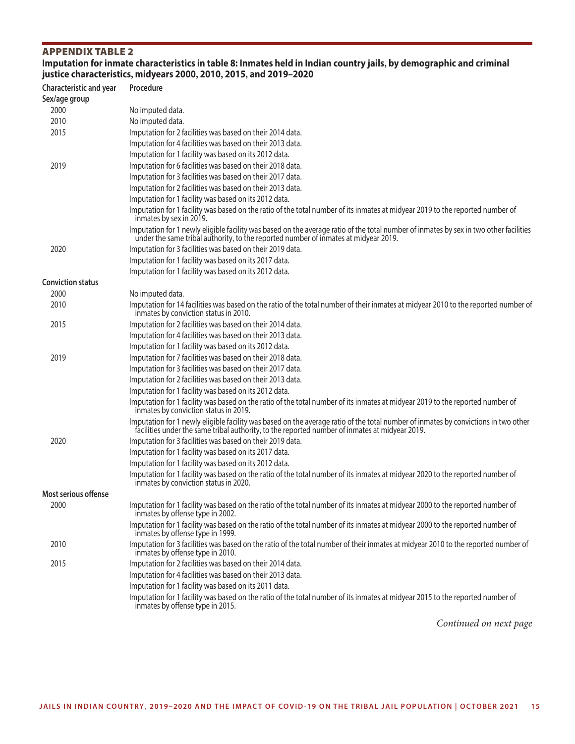#### **APPENDIX TABLE 2** Imputation for inmate characteristics in table 8: Inmates held in Indian country jails, by demographic and criminal justice characteristics, midyears 2000, 2010, 2015, and 2019-2020

**Characteristic and year Procedure Sex/age group** 2000 No imputed data. 2010 No imputed data. 2015 Imputation for 2 facilities was based on their 2014 data. Imputation for 4 facilities was based on their 2013 data. Imputation for 1 facility was based on its 2012 data. 2019 Imputation for 6 facilities was based on their 2018 data. Imputation for 3 facilities was based on their 2017 data. Imputation for 2 facilities was based on their 2013 data. Imputation for 1 facility was based on its 2012 data. Imputation for 1 facility was based on the ratio of the total number of its inmates at midyear 2019 to the reported number of inmates by sex in 2019. Imputation for 1 newly eligible facility was based on the average ratio of the total number of inmates by sex in two other facilities under the same tribal authority, to the reported number of inmates at midyear 2019. 2020 Imputation for 3 facilities was based on their 2019 data. Imputation for 1 facility was based on its 2017 data. Imputation for 1 facility was based on its 2012 data. **Conviction status** 2000 No imputed data. 2010 Imputation for 14 facilities was based on the ratio of the total number of their inmates at midyear 2010 to the reported number of inmates by conviction status in 2010. 2015 Imputation for 2 facilities was based on their 2014 data. Imputation for 4 facilities was based on their 2013 data. Imputation for 1 facility was based on its 2012 data. 2019 Imputation for 7 facilities was based on their 2018 data. Imputation for 3 facilities was based on their 2017 data. Imputation for 2 facilities was based on their 2013 data. Imputation for 1 facility was based on its 2012 data. Imputation for 1 facility was based on the ratio of the total number of its inmates at midyear 2019 to the reported number of inmates by conviction status in 2019. Imputation for 1 newly eligible facility was based on the average ratio of the total number of inmates by convictions in two other facilities under the same tribal authority, to the reported number of inmates at midyear 2019. 2020 Imputation for 3 facilities was based on their 2019 data. Imputation for 1 facility was based on its 2017 data. Imputation for 1 facility was based on its 2012 data. Imputation for 1 facility was based on the ratio of the total number of its inmates at midyear 2020 to the reported number of inmates by conviction status in 2020. **Most serious offense** 2000 Imputation for 1 facility was based on the ratio of the total number of its inmates at midyear 2000 to the reported number of inmates by offense type in 2002. Imputation for 1 facility was based on the ratio of the total number of its inmates at midyear 2000 to the reported number of inmates by offense type in 1999. 2010 Imputation for 3 facilities was based on the ratio of the total number of their inmates at midyear 2010 to the reported number of inmates by offense type in 2010. 2015 Imputation for 2 facilities was based on their 2014 data. Imputation for 4 facilities was based on their 2013 data. Imputation for 1 facility was based on its 2011 data. Imputation for 1 facility was based on the ratio of the total number of its inmates at midyear 2015 to the reported number of inmates by offense type in 2015.

*Continued on next page*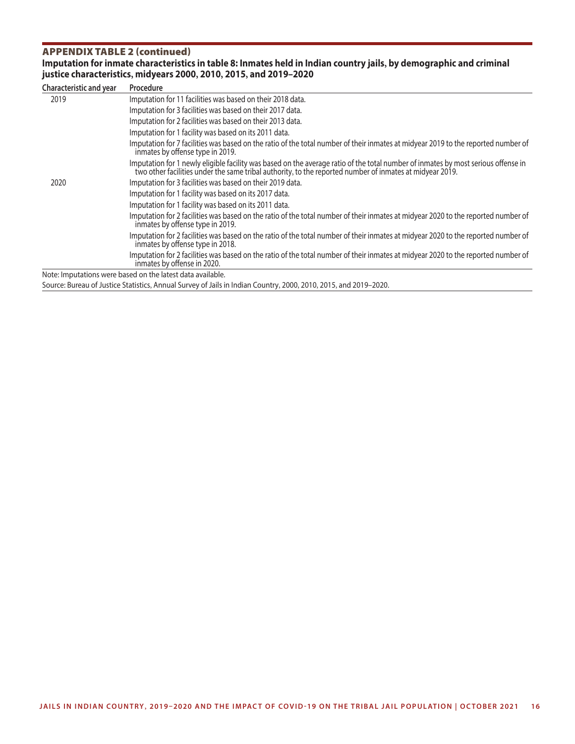### APPENDIX TABLE 2 (continued)<br>Imputation for inmate characteristics in table 8: Inmates held in Indian country jails, by demographic and criminal **, , , ,**

| <b>Characteristic and year</b> | Procedure                                                                                                                                                                                                                                     |
|--------------------------------|-----------------------------------------------------------------------------------------------------------------------------------------------------------------------------------------------------------------------------------------------|
| 2019                           | Imputation for 11 facilities was based on their 2018 data.                                                                                                                                                                                    |
|                                | Imputation for 3 facilities was based on their 2017 data.                                                                                                                                                                                     |
|                                | Imputation for 2 facilities was based on their 2013 data.                                                                                                                                                                                     |
|                                | Imputation for 1 facility was based on its 2011 data.                                                                                                                                                                                         |
|                                | Imputation for 7 facilities was based on the ratio of the total number of their inmates at midyear 2019 to the reported number of<br>inmates by offense type in 2019.                                                                         |
|                                | Imputation for 1 newly eligible facility was based on the average ratio of the total number of inmates by most serious offense in<br>two other facilities under the same tribal authority, to the reported number of inmates at midyear 2019. |
| 2020                           | Imputation for 3 facilities was based on their 2019 data.                                                                                                                                                                                     |
|                                | Imputation for 1 facility was based on its 2017 data.                                                                                                                                                                                         |
|                                | Imputation for 1 facility was based on its 2011 data.                                                                                                                                                                                         |
|                                | Imputation for 2 facilities was based on the ratio of the total number of their inmates at midyear 2020 to the reported number of<br>inmates by offense type in 2019.                                                                         |
|                                | Imputation for 2 facilities was based on the ratio of the total number of their inmates at midyear 2020 to the reported number of<br>inmates by offense type in 2018.                                                                         |
|                                | Imputation for 2 facilities was based on the ratio of the total number of their inmates at midyear 2020 to the reported number of<br>inmates by offense in 2020.                                                                              |
|                                | Note: Imputations were based on the latest data available.                                                                                                                                                                                    |

Source: Bureau of Justice Statistics, Annual Survey of Jails in Indian Country, 2000, 2010, 2015, and 2019–2020.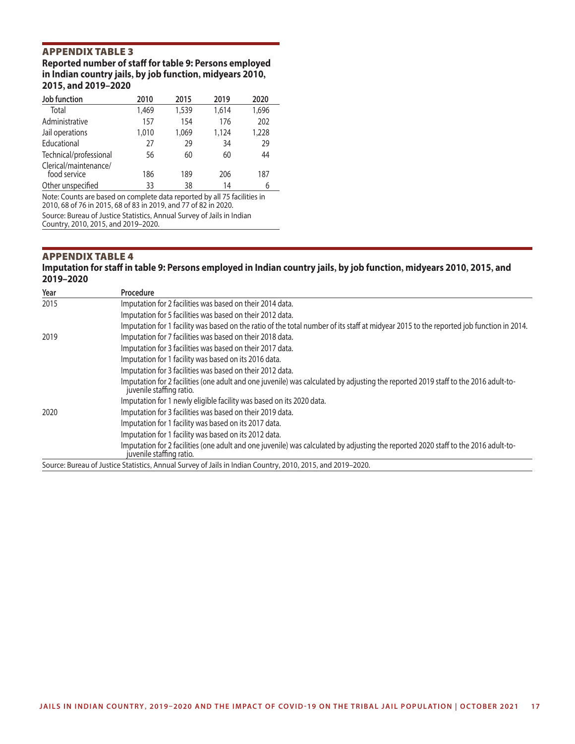### **APPENDIX TABLE 3**<br>Reported number of staff for table 9: Persons employed in Indian country jails, by job function, midyears 2010, 2015, and 2019-2020

| Job function                                                             | 2010  | 2015  | 2019  | 2020  |
|--------------------------------------------------------------------------|-------|-------|-------|-------|
| Total                                                                    | 1,469 | 1,539 | 1,614 | 1,696 |
| Administrative                                                           | 157   | 154   | 176   | 202   |
| Jail operations                                                          | 1,010 | 1,069 | 1,124 | 1,228 |
| Educational                                                              | 27    | 29    | 34    | 29    |
| Technical/professional                                                   | 56    | 60    | 60    | 44    |
| Clerical/maintenance/<br>food service                                    | 186   | 189   | 206   | 187   |
| Other unspecified                                                        | 33    | 38    | 14    | 6     |
| Note: Counts are based on complete data reported by all 75 facilities in |       |       |       |       |

2010, 68 of 76 in 2015, 68 of 83 in 2019, and 77 of 82 in 2020. Source: Bureau of Justice Statistics, Annual Survey of Jails in Indian

Country, 2010, 2015, and 2019–2020.

#### **APPENDIX TABLE 4** Imputation for staff in table 9: Persons employed in Indian country jails, by job function, midyears 2010, 2015, and 2019-2020

| Year | Procedure                                                                                                                                                      |
|------|----------------------------------------------------------------------------------------------------------------------------------------------------------------|
| 2015 | Imputation for 2 facilities was based on their 2014 data.                                                                                                      |
|      | Imputation for 5 facilities was based on their 2012 data.                                                                                                      |
|      | Imputation for 1 facility was based on the ratio of the total number of its staff at midyear 2015 to the reported job function in 2014.                        |
| 2019 | Imputation for 7 facilities was based on their 2018 data.                                                                                                      |
|      | Imputation for 3 facilities was based on their 2017 data.                                                                                                      |
|      | Imputation for 1 facility was based on its 2016 data.                                                                                                          |
|      | Imputation for 3 facilities was based on their 2012 data.                                                                                                      |
|      | Imputation for 2 facilities (one adult and one juvenile) was calculated by adjusting the reported 2019 staff to the 2016 adult-to-<br>juvenile staffing ratio. |
|      | Imputation for 1 newly eligible facility was based on its 2020 data.                                                                                           |
| 2020 | Imputation for 3 facilities was based on their 2019 data.                                                                                                      |
|      | Imputation for 1 facility was based on its 2017 data.                                                                                                          |
|      | Imputation for 1 facility was based on its 2012 data.                                                                                                          |
|      | Imputation for 2 facilities (one adult and one juvenile) was calculated by adjusting the reported 2020 staff to the 2016 adult-to-<br>juvenile staffing ratio. |
|      | Source: Bureau of Justice Statistics, Annual Survey of Jails in Indian Country, 2010, 2015, and 2019-2020.                                                     |